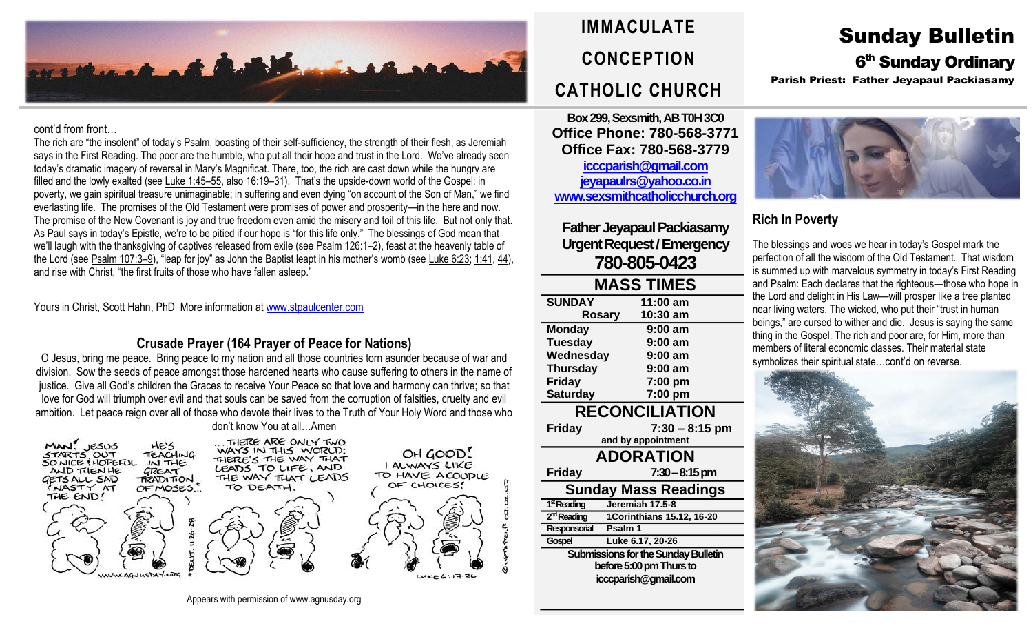

#### cont'd from front…

The rich are "the insolent" of today's Psalm, boasting of their self-sufficiency, the strength of their flesh, as Jeremiah says in the First Reading. The poor are the humble, who put all their hope and trust in the Lord. We've already seen today's dramatic imagery of reversal in Mary's Magnificat. There, too, the rich are cast down while the hungry are filled and the lowly exalted (see [Luke](https://biblia.com/bible/rsvce/Luke%201.45%E2%80%9355) 1:45–55, also 16:19–31). That's the upside-down world of the Gospel: in poverty, we gain spiritual treasure unimaginable; in suffering and even dying "on account of the Son of Man," we find everlasting life. The promises of the Old Testament were promises of power and prosperity—in the here and now. The promise of the New Covenant is joy and true freedom even amid the misery and toil of this life. But not only that. As Paul says in today's Epistle, we're to be pitied if our hope is "for this life only." The blessings of God mean that we'll laugh with the thanksgiving of captives released from exile (see [Psalm](https://biblia.com/bible/rsvce/Ps%20126.1%E2%80%932) 126:1–2), feast at the heavenly table of the Lord (see [Psalm](https://biblia.com/bible/rsvce/Ps%20107.3%E2%80%939) 107:3–9), "leap for joy" as John the Baptist leapt in his mother's womb (see [Luke](https://biblia.com/bible/rsvce/Luke%206.23) 6:23: [1:41,](https://biblia.com/bible/rsvce/Luke%201.41) [44\)](https://biblia.com/bible/rsvce/Luke%201.44), and rise with Christ, "the first fruits of those who have fallen asleep."

Yours in Christ, Scott Hahn, PhD More information a[t www.stpaulcenter.com](http://www.stpaulcenter.com/)

### **Crusade Prayer (164 Prayer of Peace for Nations)**

O Jesus, bring me peace. Bring peace to my nation and all those countries torn asunder because of war and division. Sow the seeds of peace amongst those hardened hearts who cause suffering to others in the name of justice. Give all God's children the Graces to receive Your Peace so that love and harmony can thrive; so that love for God will triumph over evil and that souls can be saved from the corruption of falsities, cruelty and evil ambition. Let peace reign over all of those who devote their lives to the Truth of Your Holy Word and those who don't know You at all…Amen



# **IMMACULATE CONCEPTION CATHOLIC CHURCH**

**Box 299, Sexsmith, AB T0H 3C0 Office Phone: 780-568-3771 Office Fax: 780-568-3779 [icccparish@gmail.com](mailto:icccparish@gmail.com) [jeyapaulrs@yahoo.co.in](mailto:jeyapaulrs@yahoo.co.in) [www.sexsmithcatholicchurch.org](http://www.sexsmithcatholicchurch.org/)**

**Father Jeyapaul Packiasamy Urgent Request/Emergency 780-805-0423**

| <b>MASS TIMES</b>     |                    |  |  |  |
|-----------------------|--------------------|--|--|--|
| <b>SUNDAY</b>         | 11:00 am           |  |  |  |
| Rosary                | 10:30 am           |  |  |  |
| <b>Monday</b>         | $9:00$ am          |  |  |  |
| <b>Tuesday</b>        | $9:00$ am          |  |  |  |
| Wednesday             | $9:00$ am          |  |  |  |
| <b>Thursday</b>       | $9:00$ am          |  |  |  |
| <b>Friday</b>         | 7:00 pm            |  |  |  |
| <b>Saturday</b>       | 7:00 pm            |  |  |  |
| <b>RECONCILIATION</b> |                    |  |  |  |
| Friday                | $7:30 - 8:15$ pm   |  |  |  |
|                       | and by appointment |  |  |  |
| <b>ADORATION</b>      |                    |  |  |  |
| <b>Friday</b>         | $7:30 - 8:15$ pm   |  |  |  |
| Rundov Mocc Doodings  |                    |  |  |  |

**Sunday Mass Readings** 1<sup>st</sup> Reading **stReading Jeremiah 17.5-8** 2<sup>nd</sup> Reading **ndReading 1Corinthians 15.12, 16-20 Responsorial Psalm 1 Gospel Luke 6.17, 20-26 Submissions for the Sunday Bulletin before 5:00 pm Thursto icccparish@gmail.com**

# Sunday Bulletin 6<sup>th</sup> Sunday Ordinary Parish Priest: Father Jeyapaul Packiasamy



## **Rich In Poverty**

The blessings and woes we hear in today's Gospel mark the perfection of all the wisdom of the Old Testament. That wisdom is summed up with marvelous symmetry in today's First Reading and Psalm: Each declares that the righteous—those who hope in the Lord and delight in His Law—will prosper like a tree planted near living waters. The wicked, who put their "trust in human beings," are cursed to wither and die. Jesus is saying the same thing in the Gospel. The rich and poor are, for Him, more than members of literal economic classes. Their material state symbolizes their spiritual state...cont'd on reverse.



Appears with permission of www.agnusday.org